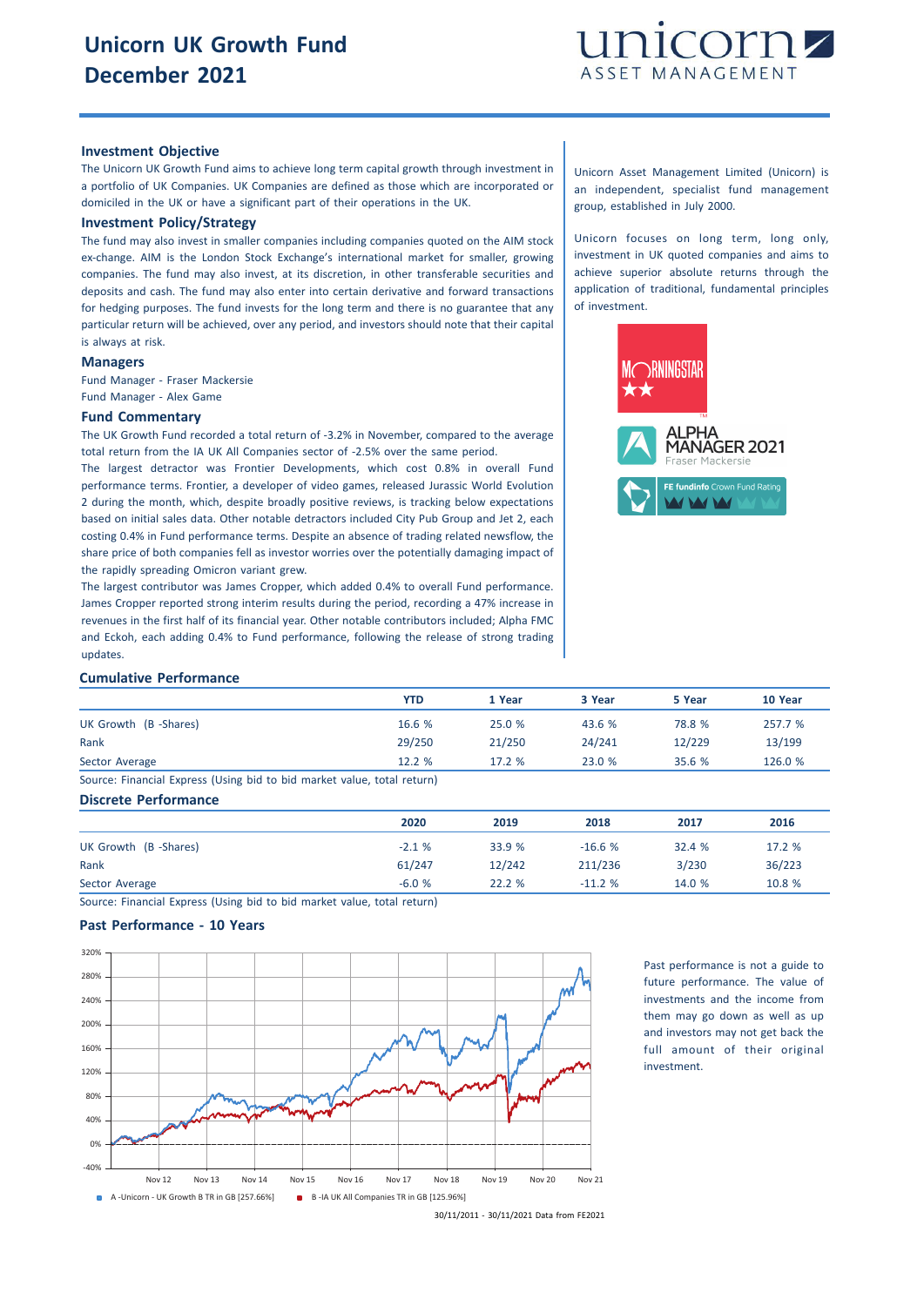

## **Investment Objective**

The Unicorn UK Growth Fund aims to achieve long term capital growth through investment in a portfolio of UK Companies. UK Companies are defined as those which are incorporated or domiciled in the UK or have a significant part of their operations in the UK.

# **Investment Policy/Strategy**

The fund may also invest in smaller companies including companies quoted on the AIM stock ex-change. AIM is the London Stock Exchange's international market for smaller, growing companies. The fund may also invest, at its discretion, in other transferable securities and deposits and cash. The fund may also enter into certain derivative and forward transactions for hedging purposes. The fund invests for the long term and there is no guarantee that any particular return will be achieved, over any period, and investors should note that their capital is always at risk.

## **Managers**

Fund Manager - Fraser Mackersie Fund Manager - Alex Game

#### **Fund Commentary**

The UK Growth Fund recorded a total return of -3.2% in November, compared to the average total return from the IA UK All Companies sector of -2.5% over the same period.

The largest detractor was Frontier Developments, which cost 0.8% in overall Fund performance terms. Frontier, a developer of video games, released Jurassic World Evolution 2 during the month, which, despite broadly positive reviews, is tracking below expectations based on initial sales data. Other notable detractors included City Pub Group and Jet 2, each costing 0.4% in Fund performance terms. Despite an absence of trading related newsflow, the share price of both companies fell as investor worries over the potentially damaging impact of the rapidly spreading Omicron variant grew.

The largest contributor was James Cropper, which added 0.4% to overall Fund performance. James Cropper reported strong interim results during the period, recording a 47% increase in revenues in the first half of its financial year. Other notable contributors included; Alpha FMC and Eckoh, each adding 0.4% to Fund performance, following the release of strong trading updates.

Unicorn Asset Management Limited (Unicorn) is an independent, specialist fund management group, established in July 2000.

Unicorn focuses on long term, long only, investment in UK quoted companies and aims to achieve superior absolute returns through the application of traditional, fundamental principles of investment.



#### **Cumulative Performance**

|                                                                         | YTD    | 1 Year | 3 Year | 5 Year | 10 Year |
|-------------------------------------------------------------------------|--------|--------|--------|--------|---------|
| UK Growth (B-Shares)                                                    | 16.6 % | 25.0%  | 43.6 % | 78.8 % | 257.7 % |
| Rank                                                                    | 29/250 | 21/250 | 24/241 | 12/229 | 13/199  |
| Sector Average                                                          | 12.2%  | 17.2%  | 23.0%  | 35.6%  | 126.0 % |
| Source: Financial Express (Using bid to bid market value, total return) |        |        |        |        |         |

## **Discrete Performance**

|                      | 2020    | 2019   | 2018     | 2017   | 2016   |
|----------------------|---------|--------|----------|--------|--------|
| UK Growth (B-Shares) | $-2.1%$ | 33.9 % | $-16.6%$ | 32.4 % | 17.2 % |
| Rank                 | 61/247  | 12/242 | 211/236  | 3/230  | 36/223 |
| Sector Average       | $-6.0%$ | 22.2%  | $-11.2%$ | 14.0 % | 10.8 % |

Source: Financial Express (Using bid to bid market value, total return)

## **Past Performance - 10 Years**



Past performance is not a guide to future performance. The value of investments and the income from them may go down as well as up and investors may not get back the full amount of their original investment.

30/11/2011 - 30/11/2021 Data from FE2021